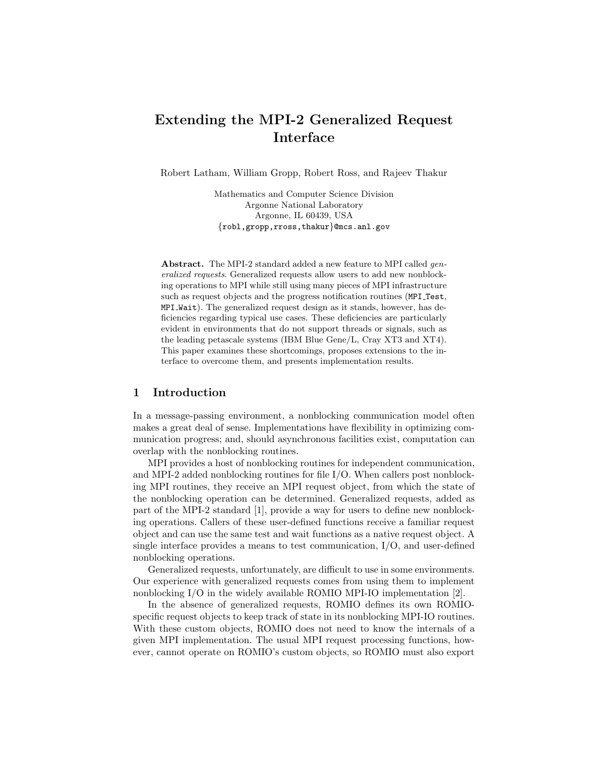# Extending the MPI-2 Generalized Request Interface

Robert Latham, William Gropp, Robert Ross, and Rajeev Thakur

Mathematics and Computer Science Division Argonne National Laboratory Argonne, IL 60439, USA {robl,gropp,rross,thakur}@mcs.anl.gov

Abstract. The MPI-2 standard added a new feature to MPI called generalized requests. Generalized requests allow users to add new nonblocking operations to MPI while still using many pieces of MPI infrastructure such as request objects and the progress notification routines (MPI Test, MPI Wait). The generalized request design as it stands, however, has deficiencies regarding typical use cases. These deficiencies are particularly evident in environments that do not support threads or signals, such as the leading petascale systems (IBM Blue Gene/L, Cray XT3 and XT4). This paper examines these shortcomings, proposes extensions to the interface to overcome them, and presents implementation results.

#### 1 Introduction

In a message-passing environment, a nonblocking communication model often makes a great deal of sense. Implementations have flexibility in optimizing communication progress; and, should asynchronous facilities exist, computation can overlap with the nonblocking routines.

MPI provides a host of nonblocking routines for independent communication, and MPI-2 added nonblocking routines for file I/O. When callers post nonblocking MPI routines, they receive an MPI request object, from which the state of the nonblocking operation can be determined. Generalized requests, added as part of the MPI-2 standard [1], provide a way for users to define new nonblocking operations. Callers of these user-defined functions receive a familiar request object and can use the same test and wait functions as a native request object. A single interface provides a means to test communication, I/O, and user-defined nonblocking operations.

Generalized requests, unfortunately, are difficult to use in some environments. Our experience with generalized requests comes from using them to implement nonblocking I/O in the widely available ROMIO MPI-IO implementation [2].

In the absence of generalized requests, ROMIO defines its own ROMIOspecific request objects to keep track of state in its nonblocking MPI-IO routines. With these custom objects, ROMIO does not need to know the internals of a given MPI implementation. The usual MPI request processing functions, however, cannot operate on ROMIO's custom objects, so ROMIO must also export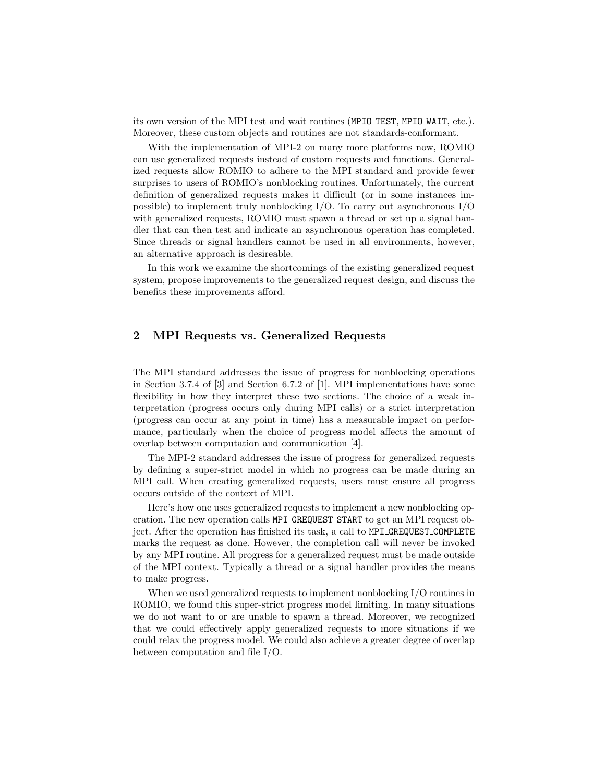its own version of the MPI test and wait routines (MPIO\_TEST, MPIO\_WAIT, etc.). Moreover, these custom objects and routines are not standards-conformant.

With the implementation of MPI-2 on many more platforms now, ROMIO can use generalized requests instead of custom requests and functions. Generalized requests allow ROMIO to adhere to the MPI standard and provide fewer surprises to users of ROMIO's nonblocking routines. Unfortunately, the current definition of generalized requests makes it difficult (or in some instances impossible) to implement truly nonblocking I/O. To carry out asynchronous I/O with generalized requests, ROMIO must spawn a thread or set up a signal handler that can then test and indicate an asynchronous operation has completed. Since threads or signal handlers cannot be used in all environments, however, an alternative approach is desireable.

In this work we examine the shortcomings of the existing generalized request system, propose improvements to the generalized request design, and discuss the benefits these improvements afford.

#### 2 MPI Requests vs. Generalized Requests

The MPI standard addresses the issue of progress for nonblocking operations in Section 3.7.4 of [3] and Section 6.7.2 of [1]. MPI implementations have some flexibility in how they interpret these two sections. The choice of a weak interpretation (progress occurs only during MPI calls) or a strict interpretation (progress can occur at any point in time) has a measurable impact on performance, particularly when the choice of progress model affects the amount of overlap between computation and communication [4].

The MPI-2 standard addresses the issue of progress for generalized requests by defining a super-strict model in which no progress can be made during an MPI call. When creating generalized requests, users must ensure all progress occurs outside of the context of MPI.

Here's how one uses generalized requests to implement a new nonblocking operation. The new operation calls MPI GREQUEST START to get an MPI request object. After the operation has finished its task, a call to MPI GREQUEST COMPLETE marks the request as done. However, the completion call will never be invoked by any MPI routine. All progress for a generalized request must be made outside of the MPI context. Typically a thread or a signal handler provides the means to make progress.

When we used generalized requests to implement nonblocking I/O routines in ROMIO, we found this super-strict progress model limiting. In many situations we do not want to or are unable to spawn a thread. Moreover, we recognized that we could effectively apply generalized requests to more situations if we could relax the progress model. We could also achieve a greater degree of overlap between computation and file I/O.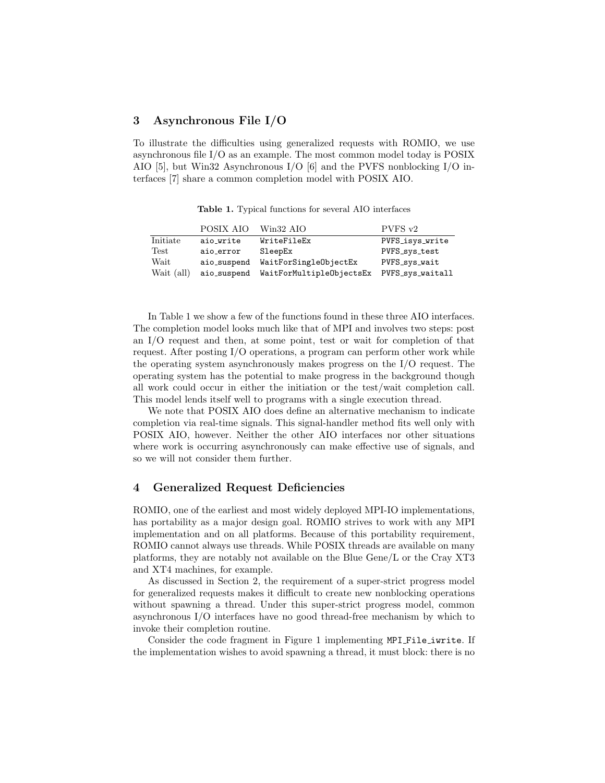#### 3 Asynchronous File I/O

To illustrate the difficulties using generalized requests with ROMIO, we use asynchronous file I/O as an example. The most common model today is POSIX AIO [5], but Win32 Asynchronous I/O [6] and the PVFS nonblocking I/O interfaces [7] share a common completion model with POSIX AIO.

Table 1. Typical functions for several AIO interfaces

|            | POSIX AIO   | Win32 AIO                | PVFS <sub>v2</sub> |
|------------|-------------|--------------------------|--------------------|
| Initiate   | aio_write   | WriteFileEx              | PVFS isys write    |
| Test       | aio error   | SleepEx                  | PVFS_sys_test      |
| Wait       | aio_suspend | WaitForSingleObjectEx    | PVFS_sys_wait      |
| Wait (all) | aio_suspend | WaitForMultipleObjectsEx | PVFS_sys_waitall   |

In Table 1 we show a few of the functions found in these three AIO interfaces. The completion model looks much like that of MPI and involves two steps: post an I/O request and then, at some point, test or wait for completion of that request. After posting I/O operations, a program can perform other work while the operating system asynchronously makes progress on the I/O request. The operating system has the potential to make progress in the background though all work could occur in either the initiation or the test/wait completion call. This model lends itself well to programs with a single execution thread.

We note that POSIX AIO does define an alternative mechanism to indicate completion via real-time signals. This signal-handler method fits well only with POSIX AIO, however. Neither the other AIO interfaces nor other situations where work is occurring asynchronously can make effective use of signals, and so we will not consider them further.

#### 4 Generalized Request Deficiencies

ROMIO, one of the earliest and most widely deployed MPI-IO implementations, has portability as a major design goal. ROMIO strives to work with any MPI implementation and on all platforms. Because of this portability requirement, ROMIO cannot always use threads. While POSIX threads are available on many platforms, they are notably not available on the Blue Gene/L or the Cray XT3 and XT4 machines, for example.

As discussed in Section 2, the requirement of a super-strict progress model for generalized requests makes it difficult to create new nonblocking operations without spawning a thread. Under this super-strict progress model, common asynchronous I/O interfaces have no good thread-free mechanism by which to invoke their completion routine.

Consider the code fragment in Figure 1 implementing MPI File iwrite. If the implementation wishes to avoid spawning a thread, it must block: there is no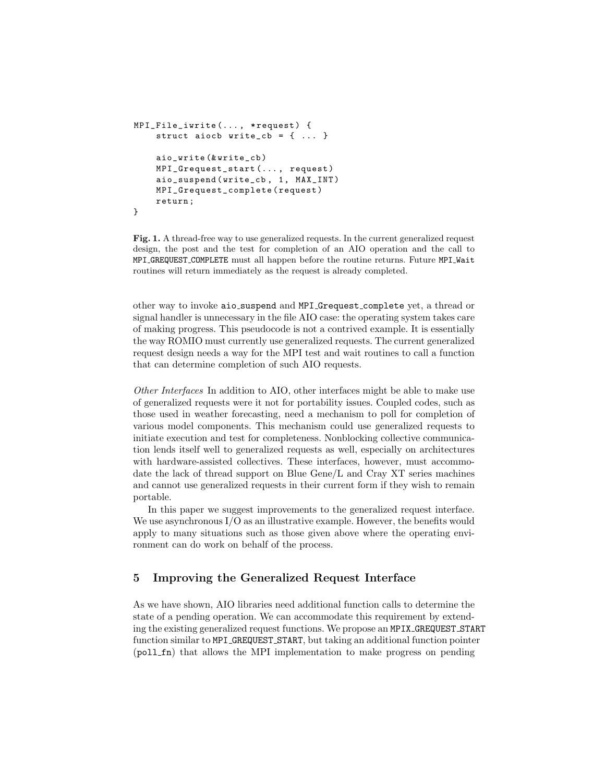```
MPI_File_iwrite (... , * request ) {
    struct aiocb write_cb = \{ \ldots \}aio_write (& write_cb )
    MPI_Grequest_start (... , request )
    aio_suspend ( write_cb , 1, MAX_INT )
    MPI_Grequest_complete ( request )
    return ;
}
```
Fig. 1. A thread-free way to use generalized requests. In the current generalized request design, the post and the test for completion of an AIO operation and the call to MPI GREQUEST COMPLETE must all happen before the routine returns. Future MPI Wait routines will return immediately as the request is already completed.

other way to invoke aio suspend and MPI Grequest complete yet, a thread or signal handler is unnecessary in the file AIO case: the operating system takes care of making progress. This pseudocode is not a contrived example. It is essentially the way ROMIO must currently use generalized requests. The current generalized request design needs a way for the MPI test and wait routines to call a function that can determine completion of such AIO requests.

Other Interfaces In addition to AIO, other interfaces might be able to make use of generalized requests were it not for portability issues. Coupled codes, such as those used in weather forecasting, need a mechanism to poll for completion of various model components. This mechanism could use generalized requests to initiate execution and test for completeness. Nonblocking collective communication lends itself well to generalized requests as well, especially on architectures with hardware-assisted collectives. These interfaces, however, must accommodate the lack of thread support on Blue Gene/L and Cray XT series machines and cannot use generalized requests in their current form if they wish to remain portable.

In this paper we suggest improvements to the generalized request interface. We use asynchronous I/O as an illustrative example. However, the benefits would apply to many situations such as those given above where the operating environment can do work on behalf of the process.

# 5 Improving the Generalized Request Interface

As we have shown, AIO libraries need additional function calls to determine the state of a pending operation. We can accommodate this requirement by extending the existing generalized request functions. We propose an MPIX GREQUEST START function similar to MPI GREQUEST START, but taking an additional function pointer (poll fn) that allows the MPI implementation to make progress on pending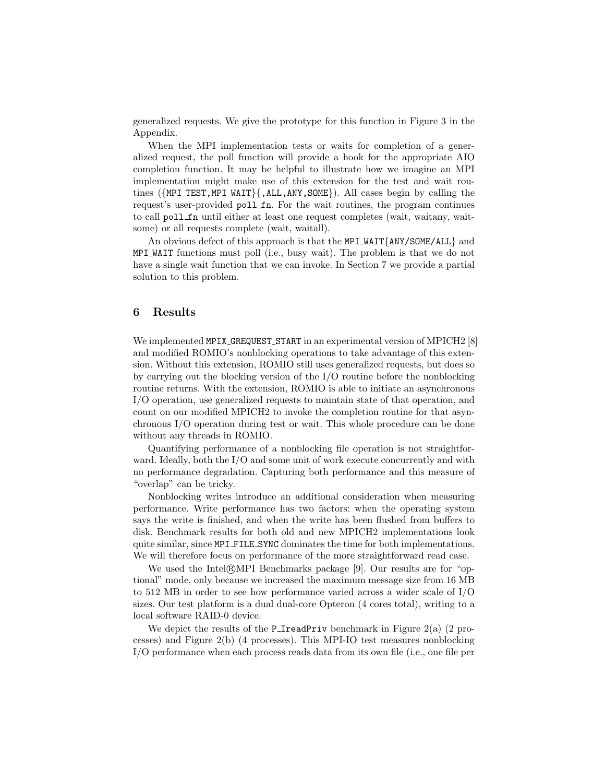generalized requests. We give the prototype for this function in Figure 3 in the Appendix.

When the MPI implementation tests or waits for completion of a generalized request, the poll function will provide a hook for the appropriate AIO completion function. It may be helpful to illustrate how we imagine an MPI implementation might make use of this extension for the test and wait routines ( $\{MPI_TEST, MPI-WAIT\}$ , ALL, ANY, SOME). All cases begin by calling the request's user-provided poll fn. For the wait routines, the program continues to call poll fn until either at least one request completes (wait, waitany, waitsome) or all requests complete (wait, waitall).

An obvious defect of this approach is that the MPI\_WAIT{ANY/SOME/ALL} and MPI WAIT functions must poll (i.e., busy wait). The problem is that we do not have a single wait function that we can invoke. In Section 7 we provide a partial solution to this problem.

### 6 Results

We implemented MPIX\_GREQUEST\_START in an experimental version of MPICH2 [8] and modified ROMIO's nonblocking operations to take advantage of this extension. Without this extension, ROMIO still uses generalized requests, but does so by carrying out the blocking version of the I/O routine before the nonblocking routine returns. With the extension, ROMIO is able to initiate an asynchronous I/O operation, use generalized requests to maintain state of that operation, and count on our modified MPICH2 to invoke the completion routine for that asynchronous I/O operation during test or wait. This whole procedure can be done without any threads in ROMIO.

Quantifying performance of a nonblocking file operation is not straightforward. Ideally, both the I/O and some unit of work execute concurrently and with no performance degradation. Capturing both performance and this measure of "overlap" can be tricky.

Nonblocking writes introduce an additional consideration when measuring performance. Write performance has two factors: when the operating system says the write is finished, and when the write has been flushed from buffers to disk. Benchmark results for both old and new MPICH2 implementations look quite similar, since MPI FILE SYNC dominates the time for both implementations. We will therefore focus on performance of the more straightforward read case.

We used the Intel $(R)$ MPI Benchmarks package [9]. Our results are for "optional" mode, only because we increased the maximum message size from 16 MB to 512 MB in order to see how performance varied across a wider scale of I/O sizes. Our test platform is a dual dual-core Opteron (4 cores total), writing to a local software RAID-0 device.

We depict the results of the P-IreadPriv benchmark in Figure  $2(a)$  (2 processes) and Figure 2(b) (4 processes). This MPI-IO test measures nonblocking I/O performance when each process reads data from its own file (i.e., one file per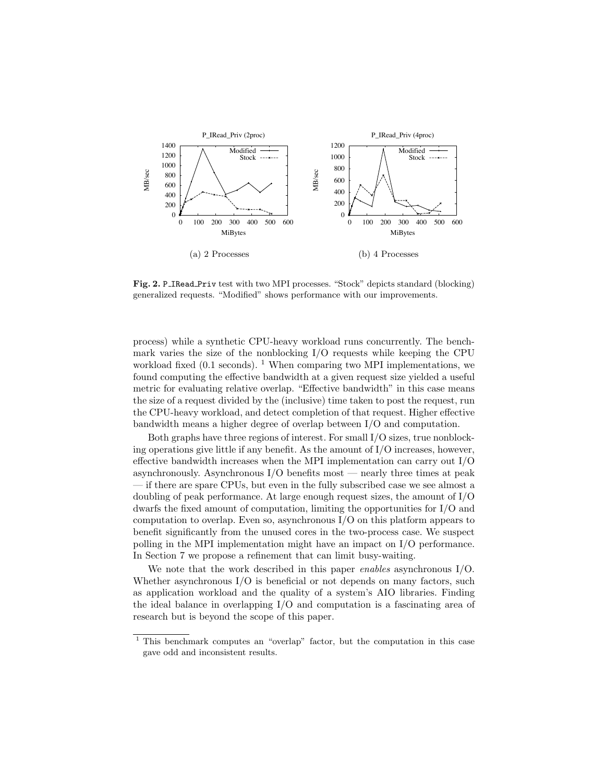

Fig. 2. P IRead Priv test with two MPI processes. "Stock" depicts standard (blocking) generalized requests. "Modified" shows performance with our improvements.

process) while a synthetic CPU-heavy workload runs concurrently. The benchmark varies the size of the nonblocking I/O requests while keeping the CPU workload fixed  $(0.1 \text{ seconds})$ . <sup>1</sup> When comparing two MPI implementations, we found computing the effective bandwidth at a given request size yielded a useful metric for evaluating relative overlap. "Effective bandwidth" in this case means the size of a request divided by the (inclusive) time taken to post the request, run the CPU-heavy workload, and detect completion of that request. Higher effective bandwidth means a higher degree of overlap between I/O and computation.

Both graphs have three regions of interest. For small I/O sizes, true nonblocking operations give little if any benefit. As the amount of  $I/O$  increases, however, effective bandwidth increases when the MPI implementation can carry out I/O asynchronously. Asynchronous  $I/O$  benefits most  $-$  nearly three times at peak — if there are spare CPUs, but even in the fully subscribed case we see almost a doubling of peak performance. At large enough request sizes, the amount of I/O dwarfs the fixed amount of computation, limiting the opportunities for I/O and computation to overlap. Even so, asynchronous  $I/O$  on this platform appears to benefit significantly from the unused cores in the two-process case. We suspect polling in the MPI implementation might have an impact on I/O performance. In Section 7 we propose a refinement that can limit busy-waiting.

We note that the work described in this paper enables asynchronous I/O. Whether asynchronous  $I/O$  is beneficial or not depends on many factors, such as application workload and the quality of a system's AIO libraries. Finding the ideal balance in overlapping I/O and computation is a fascinating area of research but is beyond the scope of this paper.

<sup>1</sup> This benchmark computes an "overlap" factor, but the computation in this case gave odd and inconsistent results.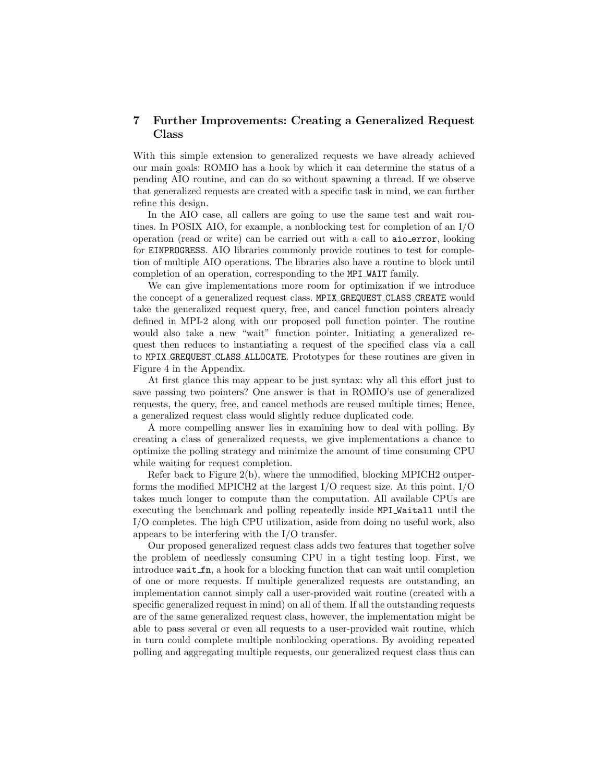# 7 Further Improvements: Creating a Generalized Request Class

With this simple extension to generalized requests we have already achieved our main goals: ROMIO has a hook by which it can determine the status of a pending AIO routine, and can do so without spawning a thread. If we observe that generalized requests are created with a specific task in mind, we can further refine this design.

In the AIO case, all callers are going to use the same test and wait routines. In POSIX AIO, for example, a nonblocking test for completion of an I/O operation (read or write) can be carried out with a call to aio error, looking for EINPROGRESS. AIO libraries commonly provide routines to test for completion of multiple AIO operations. The libraries also have a routine to block until completion of an operation, corresponding to the MPI WAIT family.

We can give implementations more room for optimization if we introduce the concept of a generalized request class. MPIX GREQUEST CLASS CREATE would take the generalized request query, free, and cancel function pointers already defined in MPI-2 along with our proposed poll function pointer. The routine would also take a new "wait" function pointer. Initiating a generalized request then reduces to instantiating a request of the specified class via a call to MPIX GREQUEST CLASS ALLOCATE. Prototypes for these routines are given in Figure 4 in the Appendix.

At first glance this may appear to be just syntax: why all this effort just to save passing two pointers? One answer is that in ROMIO's use of generalized requests, the query, free, and cancel methods are reused multiple times; Hence, a generalized request class would slightly reduce duplicated code.

A more compelling answer lies in examining how to deal with polling. By creating a class of generalized requests, we give implementations a chance to optimize the polling strategy and minimize the amount of time consuming CPU while waiting for request completion.

Refer back to Figure 2(b), where the unmodified, blocking MPICH2 outperforms the modified MPICH2 at the largest I/O request size. At this point, I/O takes much longer to compute than the computation. All available CPUs are executing the benchmark and polling repeatedly inside MPI Waitall until the I/O completes. The high CPU utilization, aside from doing no useful work, also appears to be interfering with the I/O transfer.

Our proposed generalized request class adds two features that together solve the problem of needlessly consuming CPU in a tight testing loop. First, we introduce wait fn, a hook for a blocking function that can wait until completion of one or more requests. If multiple generalized requests are outstanding, an implementation cannot simply call a user-provided wait routine (created with a specific generalized request in mind) on all of them. If all the outstanding requests are of the same generalized request class, however, the implementation might be able to pass several or even all requests to a user-provided wait routine, which in turn could complete multiple nonblocking operations. By avoiding repeated polling and aggregating multiple requests, our generalized request class thus can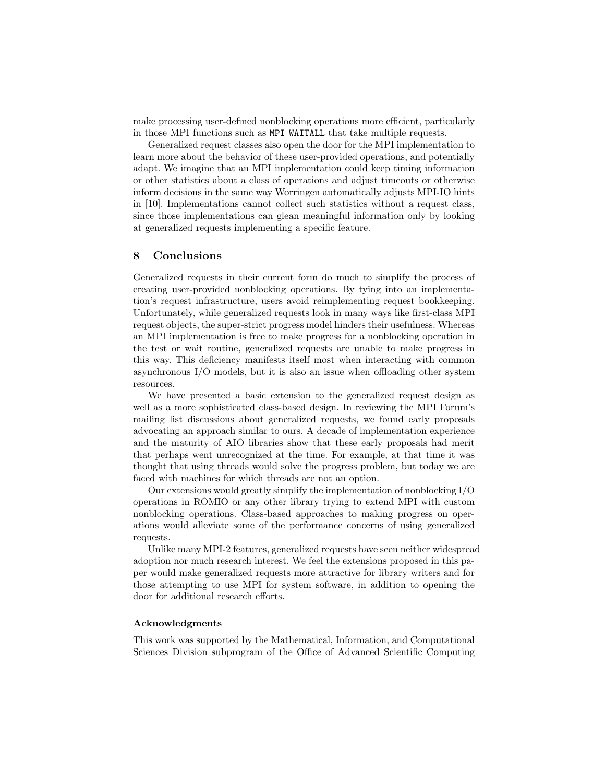make processing user-defined nonblocking operations more efficient, particularly in those MPI functions such as MPI WAITALL that take multiple requests.

Generalized request classes also open the door for the MPI implementation to learn more about the behavior of these user-provided operations, and potentially adapt. We imagine that an MPI implementation could keep timing information or other statistics about a class of operations and adjust timeouts or otherwise inform decisions in the same way Worringen automatically adjusts MPI-IO hints in [10]. Implementations cannot collect such statistics without a request class, since those implementations can glean meaningful information only by looking at generalized requests implementing a specific feature.

### 8 Conclusions

Generalized requests in their current form do much to simplify the process of creating user-provided nonblocking operations. By tying into an implementation's request infrastructure, users avoid reimplementing request bookkeeping. Unfortunately, while generalized requests look in many ways like first-class MPI request objects, the super-strict progress model hinders their usefulness. Whereas an MPI implementation is free to make progress for a nonblocking operation in the test or wait routine, generalized requests are unable to make progress in this way. This deficiency manifests itself most when interacting with common asynchronous I/O models, but it is also an issue when offloading other system resources.

We have presented a basic extension to the generalized request design as well as a more sophisticated class-based design. In reviewing the MPI Forum's mailing list discussions about generalized requests, we found early proposals advocating an approach similar to ours. A decade of implementation experience and the maturity of AIO libraries show that these early proposals had merit that perhaps went unrecognized at the time. For example, at that time it was thought that using threads would solve the progress problem, but today we are faced with machines for which threads are not an option.

Our extensions would greatly simplify the implementation of nonblocking I/O operations in ROMIO or any other library trying to extend MPI with custom nonblocking operations. Class-based approaches to making progress on operations would alleviate some of the performance concerns of using generalized requests.

Unlike many MPI-2 features, generalized requests have seen neither widespread adoption nor much research interest. We feel the extensions proposed in this paper would make generalized requests more attractive for library writers and for those attempting to use MPI for system software, in addition to opening the door for additional research efforts.

#### Acknowledgments

This work was supported by the Mathematical, Information, and Computational Sciences Division subprogram of the Office of Advanced Scientific Computing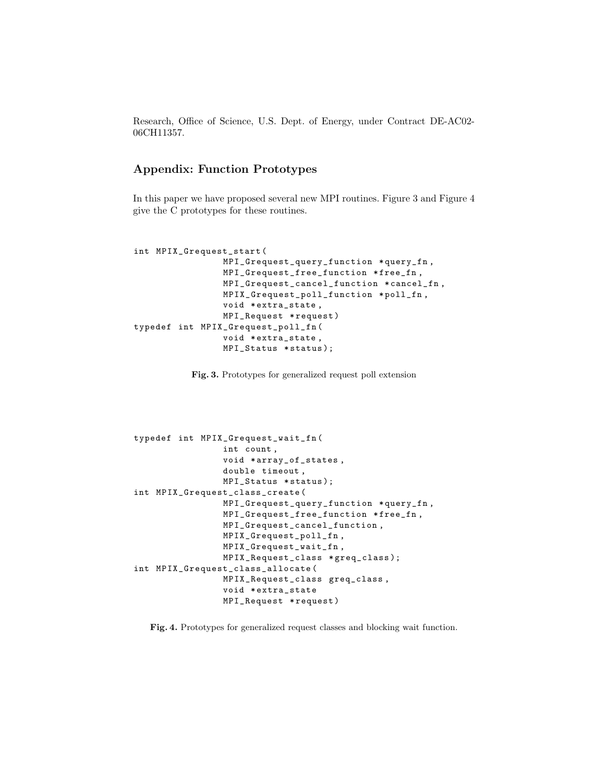Research, Office of Science, U.S. Dept. of Energy, under Contract DE-AC02- 06CH11357.

# Appendix: Function Prototypes

In this paper we have proposed several new MPI routines. Figure 3 and Figure 4 give the C prototypes for these routines.

```
int MPIX_Grequest_start (
                 MPI_Grequest_query_function * query_fn ,
                 MPI_Grequest_free_function * free_fn ,
                 MPI_Grequest_cancel_function * cancel_fn ,
                 MPIX_Grequest_poll_function * poll_fn ,
                 void * extra_state,
                 MPI_Request * request )
typedef int MPIX_Grequest_poll_fn (
                 void * extra_state,
                 MPI_Status * status );
```
Fig. 3. Prototypes for generalized request poll extension

```
typedef int MPIX_Grequest_wait_fn (
                 int count ,
                 void * array_of_states ,
                 double timeout ,
                 MPI_Status * status );
int MPIX_Grequest_class_create (
                 MPI_Grequest_query_function * query_fn ,
                 MPI_Grequest_free_function * free_fn ,
                 MPI_Grequest_cancel_function ,
                 MPIX_Grequest_poll_fn ,
                 MPIX_Grequest_wait_fn ,
                 MPIX_Request_class * greq_class );
int MPIX_Grequest_class_allocate (
                 MPIX_Request_class greq_class ,
                 void * extra_state
                 MPI_Request * request )
```
Fig. 4. Prototypes for generalized request classes and blocking wait function.